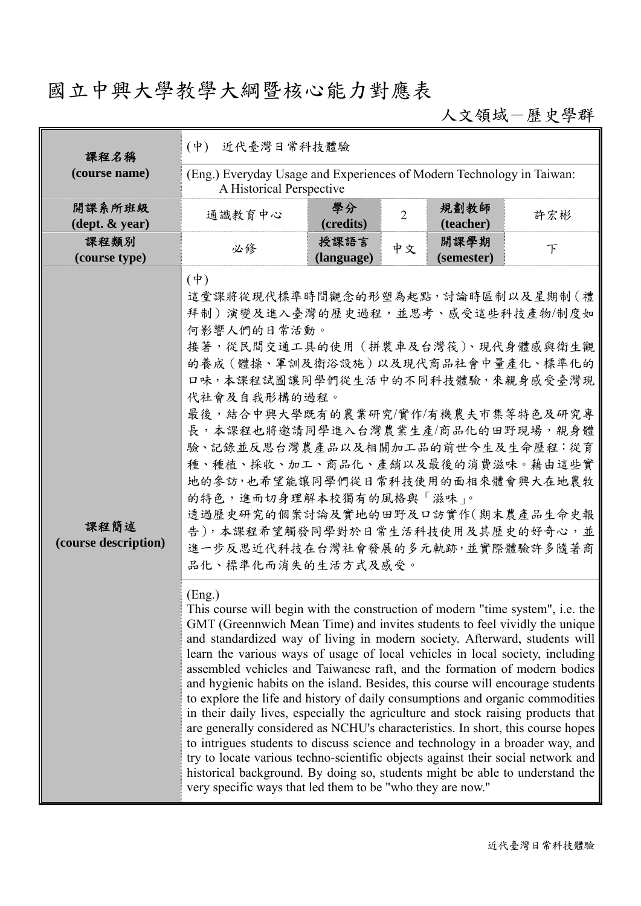# 國立中興大學教學大綱暨核心能力對應表

人文領域-歷史學群

| 課程名稱                         | 近代臺灣日常科技體驗<br>$(\phi)$                                                                                                                                                                                                                                                                                                                                                                                                                                                                                                                                                                                                                                                                                                                                                                                                                                                                                                                                                                                                                                                           |                    |                |                    |        |  |
|------------------------------|----------------------------------------------------------------------------------------------------------------------------------------------------------------------------------------------------------------------------------------------------------------------------------------------------------------------------------------------------------------------------------------------------------------------------------------------------------------------------------------------------------------------------------------------------------------------------------------------------------------------------------------------------------------------------------------------------------------------------------------------------------------------------------------------------------------------------------------------------------------------------------------------------------------------------------------------------------------------------------------------------------------------------------------------------------------------------------|--------------------|----------------|--------------------|--------|--|
| (course name)                | (Eng.) Everyday Usage and Experiences of Modern Technology in Taiwan:<br>A Historical Perspective                                                                                                                                                                                                                                                                                                                                                                                                                                                                                                                                                                                                                                                                                                                                                                                                                                                                                                                                                                                |                    |                |                    |        |  |
| 開課系所班級<br>(dept. & year)     | 通識教育中心                                                                                                                                                                                                                                                                                                                                                                                                                                                                                                                                                                                                                                                                                                                                                                                                                                                                                                                                                                                                                                                                           | 學分<br>(credits)    | $\overline{2}$ | 規劃教師<br>(teacher)  | 許宏彬    |  |
| 課程類別<br>(course type)        | 必修                                                                                                                                                                                                                                                                                                                                                                                                                                                                                                                                                                                                                                                                                                                                                                                                                                                                                                                                                                                                                                                                               | 授課語言<br>(language) | 中文             | 開課學期<br>(semester) | $\top$ |  |
| 課程簡述<br>(course description) | $(\dagger)$<br>這堂課將從現代標準時間觀念的形塑為起點,討論時區制以及星期制(禮<br>拜制)演變及進入臺灣的歷史過程,並思考、感受這些科技產物/制度如<br>何影響人們的日常活動。<br>接著,從民間交通工具的使用(拼裝車及台灣筏)、現代身體感與衛生觀<br>的養成 (體操、軍訓及衛浴設施) 以及現代商品社會中量產化、標準化的<br>口味,本課程試圖讓同學們從生活中的不同科技體驗,來親身感受臺灣現<br>代社會及自我形構的過程。<br>最後,結合中興大學既有的農業研究/實作/有機農夫市集等特色及研究專<br>長,本課程也將邀請同學進入台灣農業生產/商品化的田野現場,親身體<br>驗、記錄並反思台灣農產品以及相關加工品的前世今生及生命歷程:從育<br>種、種植、採收、加工、商品化、產銷以及最後的消費滋味。藉由這些實<br>地的參訪,也希望能讓同學們從日常科技使用的面相來體會興大在地農牧<br>的特色,進而切身理解本校獨有的風格與「滋味」。<br>透過歷史研究的個案討論及實地的田野及口訪實作(期末農產品生命史報<br>告),本課程希望觸發同學對於日常生活科技使用及其歷史的好奇心,並<br>進一步反思近代科技在台灣社會發展的多元軌跡,並實際體驗許多隨著商<br>品化、標準化而消失的生活方式及感受。                                                                                                                                                                                                                                                                                                                                                                                                                                                                                               |                    |                |                    |        |  |
|                              | (Eng.)<br>This course will begin with the construction of modern "time system", i.e. the<br>GMT (Greennwich Mean Time) and invites students to feel vividly the unique<br>and standardized way of living in modern society. Afterward, students will<br>learn the various ways of usage of local vehicles in local society, including<br>assembled vehicles and Taiwanese raft, and the formation of modern bodies<br>and hygienic habits on the island. Besides, this course will encourage students<br>to explore the life and history of daily consumptions and organic commodities<br>in their daily lives, especially the agriculture and stock raising products that<br>are generally considered as NCHU's characteristics. In short, this course hopes<br>to intrigues students to discuss science and technology in a broader way, and<br>try to locate various techno-scientific objects against their social network and<br>historical background. By doing so, students might be able to understand the<br>very specific ways that led them to be "who they are now." |                    |                |                    |        |  |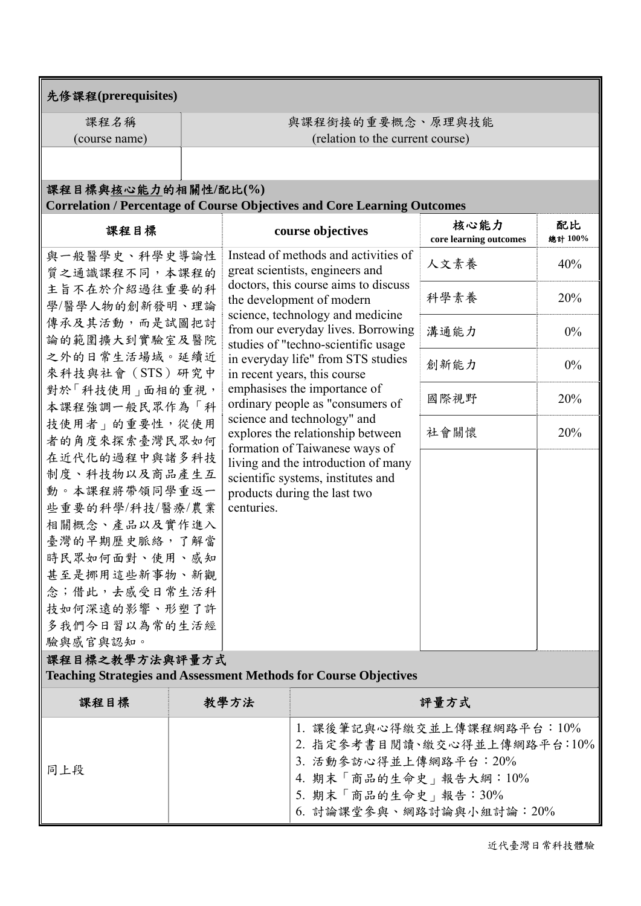### 先修課程**(prerequisites)**

課程名稱 (course name) 與課程銜接的重要概念、原理與技能 (relation to the current course)

## 課程目標與核心能力的相關性**/**配比**(%)**

### **Correlation / Percentage of Course Objectives and Core Learning Outcomes**

| 課程目標                                                                    |  |                                                                                                    | course objectives                                                                                                                                                                                                                                                                                                                   | 核心能力<br>core learning outcomes | 配比<br>總計 100% |  |  |
|-------------------------------------------------------------------------|--|----------------------------------------------------------------------------------------------------|-------------------------------------------------------------------------------------------------------------------------------------------------------------------------------------------------------------------------------------------------------------------------------------------------------------------------------------|--------------------------------|---------------|--|--|
| 與一般醫學史、科學史導論性<br>質之通識課程不同,本課程的                                          |  |                                                                                                    | Instead of methods and activities of<br>great scientists, engineers and<br>doctors, this course aims to discuss<br>the development of modern<br>science, technology and medicine<br>from our everyday lives. Borrowing<br>studies of "techno-scientific usage<br>in everyday life" from STS studies<br>in recent years, this course | 人文素養                           | 40%           |  |  |
| 主旨不在於介紹過往重要的科<br>學/醫學人物的創新發明、理論                                         |  |                                                                                                    |                                                                                                                                                                                                                                                                                                                                     | 科學素養                           | 20%           |  |  |
| 傳承及其活動,而是試圖把討<br>論的範圍擴大到實驗室及醫院                                          |  |                                                                                                    |                                                                                                                                                                                                                                                                                                                                     | 溝通能力                           | $0\%$         |  |  |
| 之外的日常生活場域。延續近<br>來科技與社會(STS)研究中                                         |  |                                                                                                    |                                                                                                                                                                                                                                                                                                                                     | 創新能力                           | $0\%$         |  |  |
| 對於「科技使用」面相的重視,<br>本課程強調一般民眾作為「科                                         |  | emphasises the importance of<br>ordinary people as "consumers of                                   |                                                                                                                                                                                                                                                                                                                                     | 國際視野                           | 20%           |  |  |
| 技使用者 的重要性,從使用<br>者的角度來探索臺灣民眾如何                                          |  | science and technology" and<br>explores the relationship between<br>formation of Taiwanese ways of |                                                                                                                                                                                                                                                                                                                                     | 社會關懷                           | 20%           |  |  |
| 在近代化的過程中與諸多科技<br>制度、科技物以及商品產生互                                          |  |                                                                                                    | living and the introduction of many<br>scientific systems, institutes and                                                                                                                                                                                                                                                           |                                |               |  |  |
| 動。本課程將帶領同學重返一<br>些重要的科學/科技/醫療/農業<br>相關概念、產品以及實作進入                       |  | centuries.                                                                                         | products during the last two                                                                                                                                                                                                                                                                                                        |                                |               |  |  |
| 臺灣的早期歷史脈絡,了解當<br>時民眾如何面對、使用、感知                                          |  |                                                                                                    |                                                                                                                                                                                                                                                                                                                                     |                                |               |  |  |
| 甚至是挪用這些新事物、新觀<br>念;借此,去感受日常生活科                                          |  |                                                                                                    |                                                                                                                                                                                                                                                                                                                                     |                                |               |  |  |
| 技如何深遠的影響、形塑了許<br>多我們今日習以為常的生活經                                          |  |                                                                                                    |                                                                                                                                                                                                                                                                                                                                     |                                |               |  |  |
| 驗與感官與認知。                                                                |  |                                                                                                    |                                                                                                                                                                                                                                                                                                                                     |                                |               |  |  |
| 課程目標之教學方法與評量方式                                                          |  |                                                                                                    |                                                                                                                                                                                                                                                                                                                                     |                                |               |  |  |
| <b>Teaching Strategies and Assessment Methods for Course Objectives</b> |  |                                                                                                    |                                                                                                                                                                                                                                                                                                                                     |                                |               |  |  |
| 課程目標                                                                    |  | 教學方法                                                                                               |                                                                                                                                                                                                                                                                                                                                     | 評量方式                           |               |  |  |
|                                                                         |  |                                                                                                    |                                                                                                                                                                                                                                                                                                                                     |                                |               |  |  |

|     | 1. 課後筆記與心得繳交並上傳課程網路平台: 10%  |
|-----|-----------------------------|
| 同上段 | 2. 指定參考書目閱讀、繳交心得並上傳網路平台:10% |
|     | 3. 活動參訪心得並上傳網路平台:20%        |
|     | 4. 期末「商品的生命史」報告大綱:10%       |
|     | 5. 期末「商品的生命史」報告:30%         |
|     | 6. 討論課堂參與、網路討論與小組討論:20%     |

近代臺灣日常科技體驗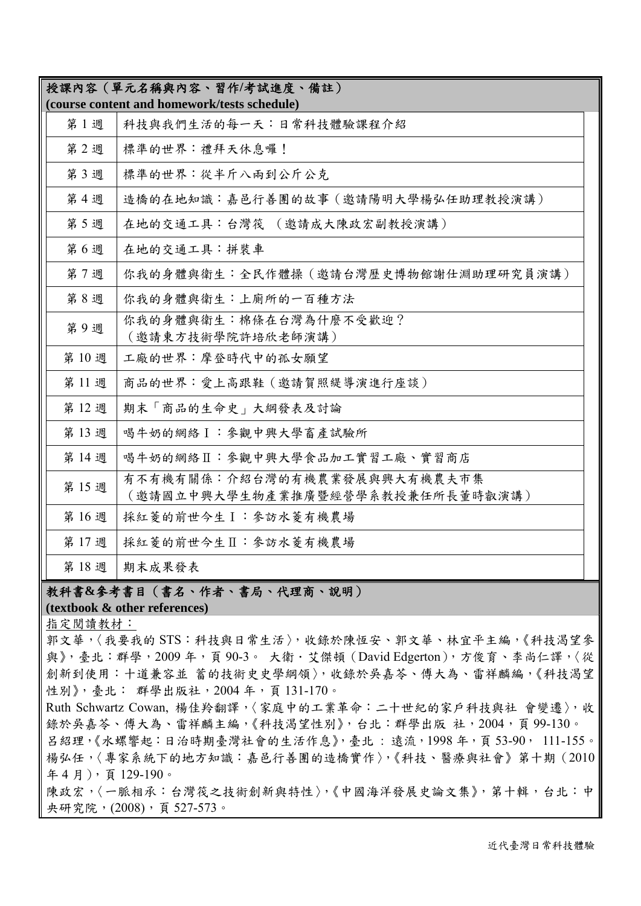|      | 授課內容 (單元名稱與內容、習作/考試進度、備註)                                        |  |
|------|------------------------------------------------------------------|--|
|      | (course content and homework/tests schedule)                     |  |
| 第1週  | 科技與我們生活的每一天︰日常科技體驗課程介紹                                           |  |
| 第2週  | 標準的世界:禮拜天休息囉!                                                    |  |
| 第3週  | 標準的世界:從半斤八兩到公斤公克                                                 |  |
| 第4週  | 造橋的在地知識:嘉邑行善團的故事 (邀請陽明大學楊弘任助理教授演講)                               |  |
| 第5週  | 在地的交通工具:台灣筏 (邀請成大陳政宏副教授演講)                                       |  |
| 第6週  | 在地的交通工具:拼裝車                                                      |  |
| 第7週  | 你我的身體與衛生:全民作體操(邀請台灣歷史博物館謝仕淵助理研究員演講)                              |  |
| 第8週  | 你我的身體與衛生:上廁所的一百種方法                                               |  |
| 第9週  | 你我的身體與衛生:棉條在台灣為什麼不受歡迎?<br>(邀請東方技術學院許培欣老師演講)                      |  |
| 第10週 | 工廠的世界:摩登時代中的孤女願望                                                 |  |
| 第11週 | 商品的世界: 愛上高跟鞋 (邀請賀照緹導演進行座談)                                       |  |
| 第12週 | 期末「商品的生命史」大綱發表及討論                                                |  |
| 第13週 | 喝牛奶的網絡I:參觀中興大學畜產試驗所                                              |  |
| 第14週 | 喝牛奶的網絡Ⅱ:參觀中興大學食品加工實習工廠、實習商店                                      |  |
| 第15週 | 有不有機有關係:介紹台灣的有機農業發展與興大有機農夫市集<br>(邀請國立中興大學生物產業推廣暨經營學系教授兼任所長董時叡演講) |  |
| 第16週 | 採紅菱的前世今生I:參訪水菱有機農場                                               |  |
| 第17週 | 採紅菱的前世今生Ⅱ:參訪水菱有機農場                                               |  |
| 第18週 | 期末成果發表                                                           |  |

#### 教科書**&**參考書目(書名、作者、書局、代理商、說明)

#### **(textbook & other references)**

指定閱讀教材:

郭文華,〈我要我的 STS:科技與日常生活〉,收錄於陳恆安、郭文華、林宜平主編,《科技渴望參 與》,臺北:群學,2009年,頁90-3。 大衛·艾傑頓 (David Edgerton),方俊育、李尚仁譯,〈從 創新到使用:十道兼容並 蓄的技術史史學綱領〉,收錄於吳嘉苓、傅大為、雷祥麟編,《科技渴望 性別》, 臺北: 群學出版社, 2004年, 頁131-170。

Ruth Schwartz Cowan, 楊佳羚翻譯,〈家庭中的工業革命:二十世紀的家戶科技與社會變遷〉,收 錄於吳嘉苓、傅大為、雷祥麟主編,《科技渴望性別》,台北:群學出版 社,2004,頁99-130。 呂紹理,《水螺響起:日治時期臺灣社會的生活作息》,臺北:遠流,1998年,頁53-90, 111-155。 楊弘任,〈專家系統下的地方知識:嘉邑行善團的造橋實作〉,《科技、醫療與社會》第十期(2010 年 4 月),頁 129-190。

陳政宏,〈一脈相承:台灣筏之技術創新與特性〉,《中國海洋發展史論文集》,第十輯,台北:中 央研究院,(2008),頁 527-573。